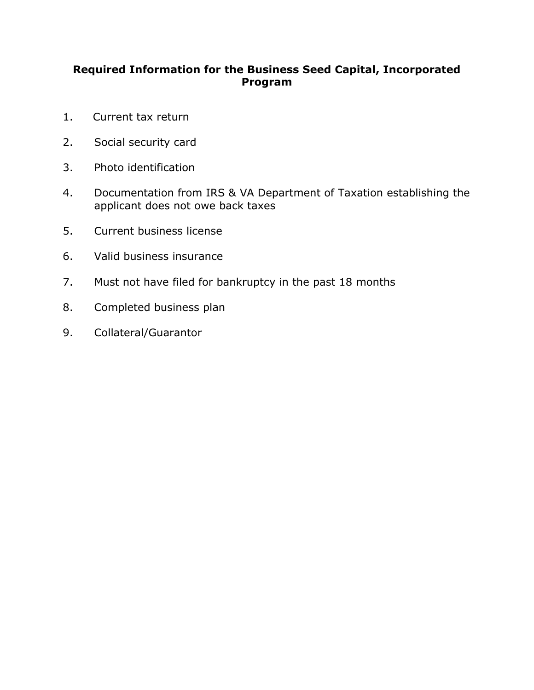#### **Required Information for the Business Seed Capital, Incorporated Program**

- 1. Current tax return
- 2. Social security card
- 3. Photo identification
- 4. Documentation from IRS & VA Department of Taxation establishing the applicant does not owe back taxes
- 5. Current business license
- 6. Valid business insurance
- $7.$ Must not have filed for bankruptcy in the past 18 months
- 8. Completed business plan<br>9. Collateral/Guarantor
-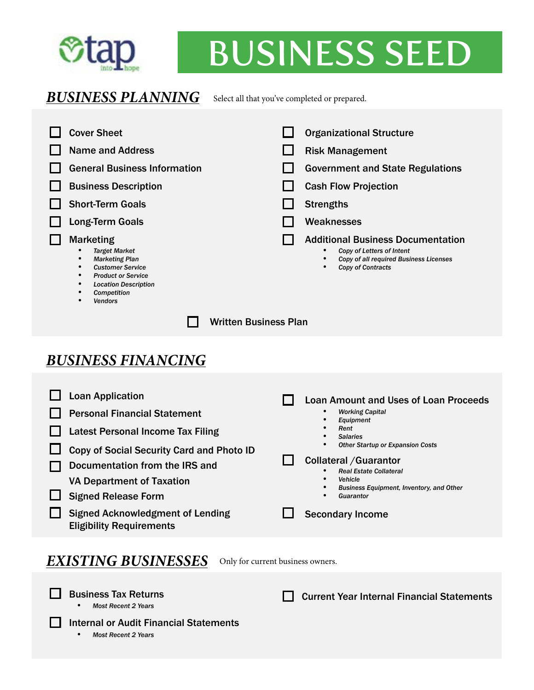

## **n·o~** BUSINESS SEED

#### **BUSINESS PLANNING** Select all that you've completed or prepared.

| <b>Cover Sheet</b><br><b>Name and Address</b><br><b>General Business Information</b><br><b>Business Description</b><br><b>Short-Term Goals</b><br><b>Long-Term Goals</b><br><b>Marketing</b><br><b>Target Market</b><br>$\bullet$<br><b>Marketing Plan</b><br><b>Customer Service</b><br>$\bullet$<br><b>Product or Service</b><br><b>Location Description</b><br>$\bullet$<br><b>Competition</b><br>$\bullet$ | <b>Organizational Structure</b><br><b>Risk Management</b><br><b>Government and State Regulations</b><br><b>Cash Flow Projection</b><br><b>Strengths</b><br>Weaknesses<br><b>Additional Business Documentation</b><br>Copy of Letters of Intent<br>$\bullet$<br>Copy of all required Business Licenses<br>$\bullet$<br><b>Copy of Contracts</b>                                                          |
|----------------------------------------------------------------------------------------------------------------------------------------------------------------------------------------------------------------------------------------------------------------------------------------------------------------------------------------------------------------------------------------------------------------|---------------------------------------------------------------------------------------------------------------------------------------------------------------------------------------------------------------------------------------------------------------------------------------------------------------------------------------------------------------------------------------------------------|
| <b>Vendors</b><br><b>Written Business Plan</b>                                                                                                                                                                                                                                                                                                                                                                 |                                                                                                                                                                                                                                                                                                                                                                                                         |
|                                                                                                                                                                                                                                                                                                                                                                                                                |                                                                                                                                                                                                                                                                                                                                                                                                         |
| <b>BUSINESS FINANCING</b>                                                                                                                                                                                                                                                                                                                                                                                      |                                                                                                                                                                                                                                                                                                                                                                                                         |
| <b>Loan Application</b><br><b>Personal Financial Statement</b><br><b>Latest Personal Income Tax Filing</b><br>Copy of Social Security Card and Photo ID<br>Documentation from the IRS and<br><b>VA Department of Taxation</b><br><b>Signed Release Form</b><br><b>Signed Acknowledgment of Lending</b><br><b>Eligibility Requirements</b>                                                                      | <b>Loan Amount and Uses of Loan Proceeds</b><br><b>Working Capital</b><br>$\bullet$<br>Equipment<br>Rent<br>$\bullet$<br><b>Salaries</b><br>$\bullet$<br><b>Other Startup or Expansion Costs</b><br><b>Collateral / Guarantor</b><br>$\blacksquare$<br><b>Real Estate Collateral</b><br>$\bullet$<br>Vehicle<br><b>Business Equipment, Inventory, and Other</b><br>Guarantor<br><b>Secondary Income</b> |
| <b>EXISTING BUSINESSES</b>                                                                                                                                                                                                                                                                                                                                                                                     | Only for current business owners.                                                                                                                                                                                                                                                                                                                                                                       |
| <b>Business Tax Returns</b><br><b>Most Recent 2 Years</b><br>٠                                                                                                                                                                                                                                                                                                                                                 | <b>Current Year Internal Financial Statements</b>                                                                                                                                                                                                                                                                                                                                                       |

Internal or Audit Financial Statements

• *Most Recent 2 Years* 

 $\Box$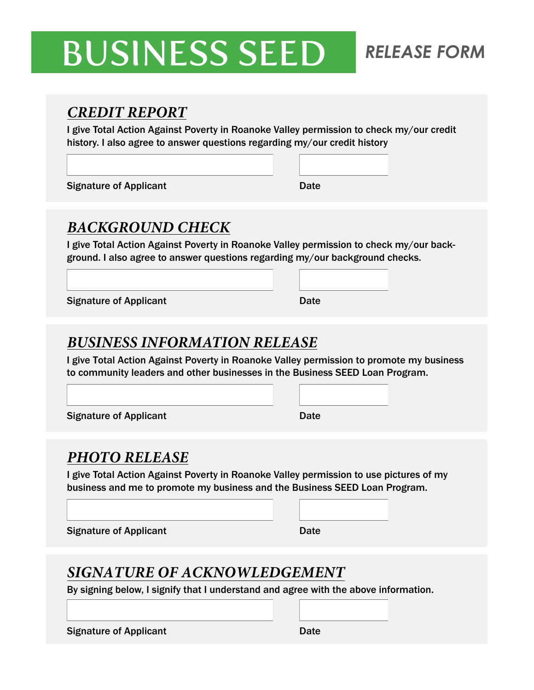### BUSINESS SEED *RELEASE FORM*

#### *CREDIT REPORT*

I give Total Action Against Poverty in Roanoke Valley permission to check my/our credit history. I also agree to answer questions regarding my/our credit history

Signature of Applicant Date Date

#### *BACKGROUND CHECK*

I give Total Action Against Poverty in Roanoke Valley permission to check my/our background. I also agree to answer questions regarding my/our background checks.

Signature of Applicant Date Date

#### *BUSINESS INFORMATION RELEASE*

I give Total Action Against Poverty in Roanoke Valley permission to promote my business to community leaders and other businesses in the Business SEED Loan Program.

Signature of Applicant Date Date Date

#### *PHOTO RELEASE*

I give Total Action Against Poverty in Roanoke Valley permission to use pictures of my business and me to promote my business and the Business SEED Loan Program.

Signature of Applicant Date Date

#### *SIGNATURE OF ACKNOWLEDGEMENT*

By signing below, I signify that I understand and agree with the above information.

Signature of Applicant Date Date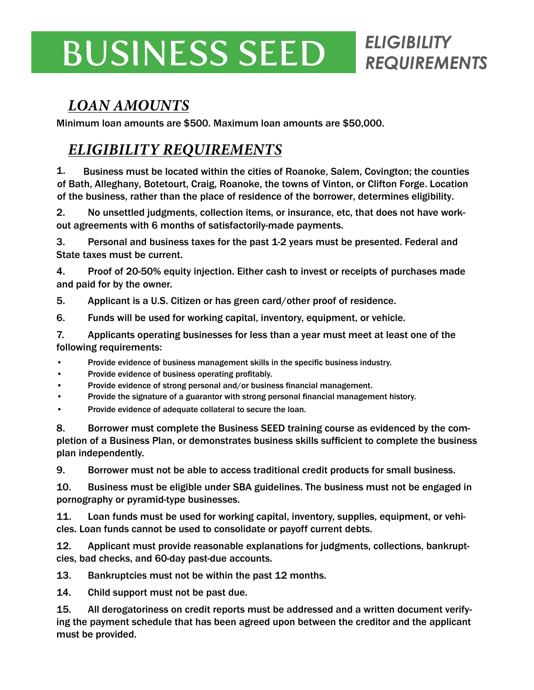### BUSINESS SEED *ELIGIBILITY*

## *REQUIREMENTS*

#### *LOAN AMOUNTS*

Minimum loan amounts are \$500. Maximum loan amounts are \$50,000.

#### *ELIGIBILITY REQUIREMENTS*

1. Business must be located within the cities of Roanoke, Salem, Covington; the counties of Bath, Alleghany, Botetourt, Craig, Roanoke, the towns of Vinton, or Clifton Forge. Location of the business, rather than the place of residence of the borrower, determines eligibility.

2. No unsettled judgments, collection items, or insurance, etc, that does not have workout agreements with 6 months of satisfactorily-made payments.

3. Personal and business taxes for the past 1-2 years must be presented. Federal and State taxes must be current.

4. Proof of 20-50% equity injection. Either cash to invest or receipts of purchases made and paid for by the owner.

5. Applicant is a U.S. Citizen or has green card/other proof of residence.

6. Funds will be used for working capital, inventory, equipment, or vehicle.

7. Applicants operating businesses for less than a year must meet at least one of the following requirements:

- Provide evidence of business management skills in the specific business industry.
- Provide evidence of business operating profitably.
- Provide evidence of strong personal and/or business financial management.
- Provide the signature of a guarantor with strong personal financial management history.
- Provide evidence of adequate collateral to secure the loan.

8. Borrower must complete the Business SEED training course as evidenced by the completion of a Business Plan, or demonstrates business skills sufficient to complete the business plan independently.

9. Borrower must not be able to access traditional credit products for small business.

10. Business must be eligible under SBA guidelines. The business must not be engaged in pornography or pyramid-type businesses.

11. Loan funds must be used for working capital, inventory, supplies, equipment, or vehicles. Loan funds cannot be used to consolidate or payoff current debts.

12. Applicant must provide reasonable explanations for judgments, collections, bankruptcies, bad checks, and 60-day past-due accounts.

13. Bankruptcies must not be within the past 12 months.

14. Child support must not be past due.

15. All derogatoriness on credit reports must be addressed and a written document verifying the payment schedule that has been agreed upon between the creditor and the applicant must be provided.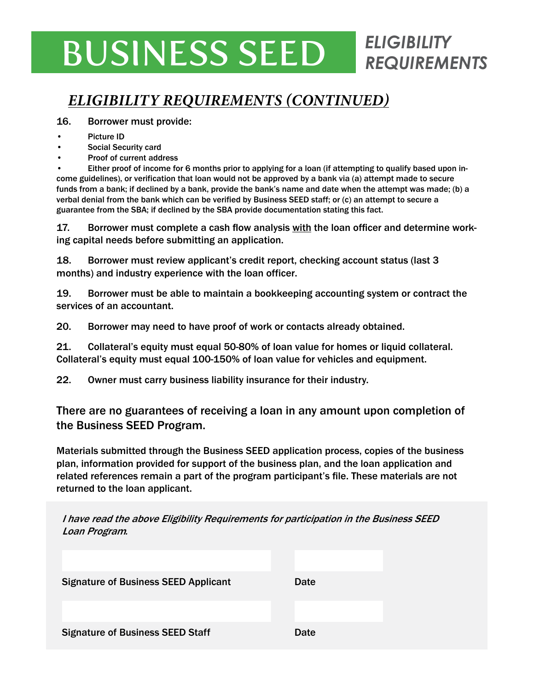### BUSINESS SEED *ELIGIBILITY*

#### *ELIGIBILITY REQUIREMENTS (CONTINUED)*

#### 16. Borrower must provide:

- Picture ID
- Social Security card
- Proof of current address

• Either proof of income for 6 months prior to applying for a loan (if attempting to qualify based upon income guidelines), or verification that loan would not be approved by a bank via (a) attempt made to secure funds from a bank; if declined by a bank, provide the bank's name and date when the attempt was made; (b) a verbal denial from the bank which can be verified by Business SEED staff; or (c) an attempt to secure a guarantee from the SBA; if declined by the SBA provide documentation stating this fact.

*REQUIREMENTS* 

17. Borrower must complete a cash flow analysis with the loan officer and determine working capital needs before submitting an application.

18. Borrower must review applicant's credit report, checking account status (last 3 months) and industry experience with the loan officer.

19. Borrower must be able to maintain a bookkeeping accounting system or contract the services of an accountant.

20. Borrower may need to have proof of work or contacts already obtained.

21. Collateral's equity must equal 50-80% of loan value for homes or liquid collateral. Collateral's equity must equal 100-150% of loan value for vehicles and equipment.

22. Owner must carry business liability insurance for their industry.

There are no guarantees of receiving a loan in any amount upon completion of the Business SEED Program.

Materials submitted through the Business SEED application process, copies of the business plan, information provided for support of the business plan, and the loan application and related references remain a part of the program participant's file. These materials are not returned to the loan applicant.

I have read the above Eligibility Requirements for participation in the Business SEED Loan Program*.*

| <b>Signature of Business SEED Applicant</b> | Date |
|---------------------------------------------|------|
|                                             |      |
|                                             |      |
| <b>Signature of Business SEED Staff</b>     | Date |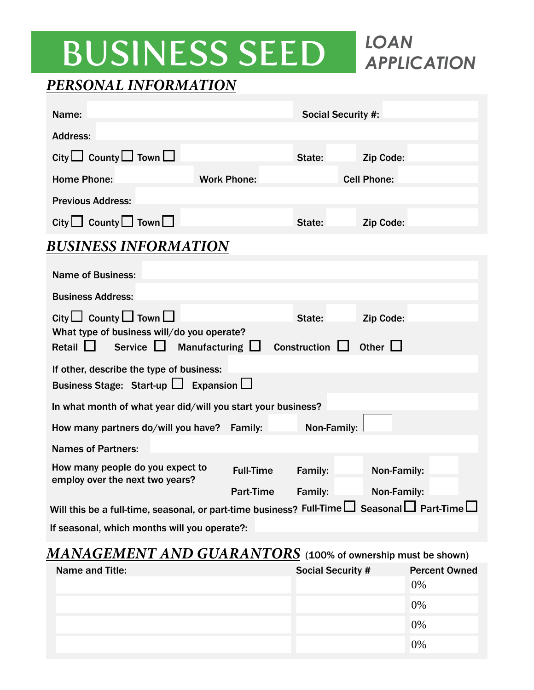*APPLICATION* 

#### *PERSONAL INFORMATION*

| Name:                                                                                                                                        |                    |                  | <b>Social Security #:</b> |                    |  |
|----------------------------------------------------------------------------------------------------------------------------------------------|--------------------|------------------|---------------------------|--------------------|--|
| <b>Address:</b>                                                                                                                              |                    |                  |                           |                    |  |
| City $\Box$ County $\Box$ Town $\Box$                                                                                                        |                    |                  | State:                    | Zip Code:          |  |
| <b>Home Phone:</b>                                                                                                                           | <b>Work Phone:</b> |                  |                           | <b>Cell Phone:</b> |  |
| <b>Previous Address:</b>                                                                                                                     |                    |                  |                           |                    |  |
| City $\Box$ County $\Box$ Town $\Box$                                                                                                        |                    |                  | State:                    | Zip Code:          |  |
| <b>BUSINESS INFORMATION</b>                                                                                                                  |                    |                  |                           |                    |  |
| <b>Name of Business:</b>                                                                                                                     |                    |                  |                           |                    |  |
| <b>Business Address:</b>                                                                                                                     |                    |                  |                           |                    |  |
| City $\Box$ County $\Box$ Town $\Box$<br>Zip Code:<br>State:                                                                                 |                    |                  |                           |                    |  |
| What type of business will/do you operate?<br>Retail $\Box$<br>Service $\Box$<br>Other $\Box$<br>Manufacturing $\Box$<br>Construction $\Box$ |                    |                  |                           |                    |  |
| If other, describe the type of business:                                                                                                     |                    |                  |                           |                    |  |
| Business Stage: Start-up $\Box$ Expansion $\Box$                                                                                             |                    |                  |                           |                    |  |
| In what month of what year did/will you start your business?                                                                                 |                    |                  |                           |                    |  |
| How many partners do/will you have?                                                                                                          |                    | Family:          | Non-Family:               |                    |  |
| <b>Names of Partners:</b>                                                                                                                    |                    |                  |                           |                    |  |
| How many people do you expect to<br>employ over the next two years?                                                                          |                    | <b>Full-Time</b> | Family:                   | Non-Family:        |  |
|                                                                                                                                              |                    | Part-Time        | Family:                   | Non-Family:        |  |
| Seasonal□ Part-Time<br>Will this be a full-time, seasonal, or part-time business? Full-Time $\Box$                                           |                    |                  |                           |                    |  |
| If seasonal, which months will you operate?:                                                                                                 |                    |                  |                           |                    |  |

#### *MANAGEMENT AND GUARANTORS* (100% of ownership must be shown)

| Name and Title: | <b>Social Security #</b> | <b>Percent Owned</b> |
|-----------------|--------------------------|----------------------|
|                 |                          | 0%                   |
|                 |                          | 0%                   |
|                 |                          | 0%                   |
|                 |                          | 0%                   |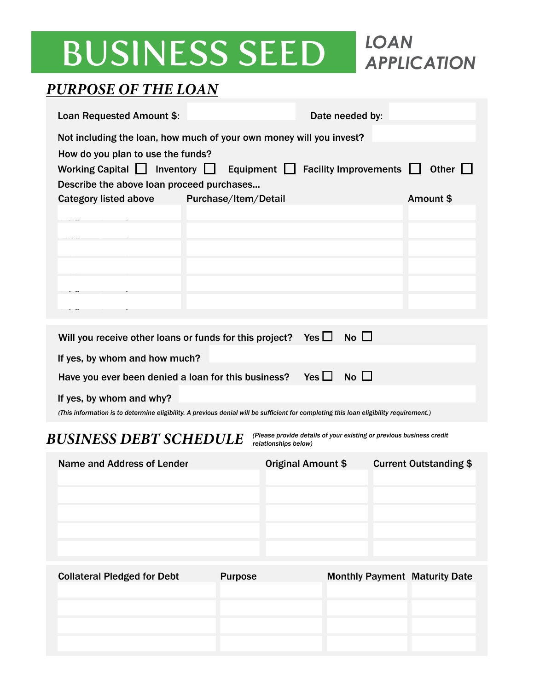*APPLICATION* 

#### *PURPOSE OF THE LOAN*

| Loan Requested Amount \$:                                                                                                                                          |                      |                                                                                              | Date needed by:              |                               |
|--------------------------------------------------------------------------------------------------------------------------------------------------------------------|----------------------|----------------------------------------------------------------------------------------------|------------------------------|-------------------------------|
| Not including the loan, how much of your own money will you invest?                                                                                                |                      |                                                                                              |                              |                               |
| How do you plan to use the funds?<br>Working Capital $\Box$ Inventory $\Box$<br>Describe the above loan proceed purchases                                          |                      | Equipment $\Box$                                                                             | <b>Facility Improvements</b> | Other $\Box$                  |
| Category listed above                                                                                                                                              | Purchase/Item/Detail |                                                                                              |                              | Amount \$                     |
|                                                                                                                                                                    |                      |                                                                                              |                              |                               |
|                                                                                                                                                                    |                      |                                                                                              |                              |                               |
|                                                                                                                                                                    |                      |                                                                                              |                              |                               |
|                                                                                                                                                                    |                      |                                                                                              |                              |                               |
|                                                                                                                                                                    |                      |                                                                                              |                              |                               |
| Will you receive other loans or funds for this project?                                                                                                            |                      | Yes $\Box$                                                                                   | No $\Box$                    |                               |
| If yes, by whom and how much?                                                                                                                                      |                      |                                                                                              |                              |                               |
| Have you ever been denied a loan for this business?                                                                                                                |                      | Yes $\Box$                                                                                   | $No$ $\Box$                  |                               |
| If yes, by whom and why?<br>(This information is to determine eligibility. A previous denial will be sufficient for completing this loan eligibility requirement.) |                      |                                                                                              |                              |                               |
| <b>BUSINESS DEBT SCHEDULE</b>                                                                                                                                      |                      | (Please provide details of your existing or previous business credit<br>relationships below) |                              |                               |
| Name and Address of Lender                                                                                                                                         |                      | Original Amount \$                                                                           |                              | <b>Current Outstanding \$</b> |
|                                                                                                                                                                    |                      |                                                                                              |                              |                               |

Collateral Pledged for Debt Purpose Monthly Payment Maturity Date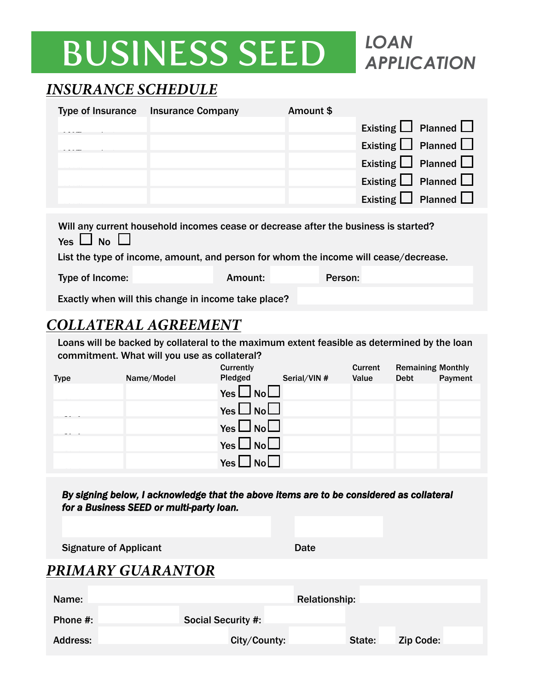

#### *INSURANCE SCHEDULE*

| <b>Type of Insurance</b> | <b>Insurance Company</b> | Amount \$ |                                |
|--------------------------|--------------------------|-----------|--------------------------------|
|                          |                          |           | Existing $\Box$ Planned $\Box$ |
|                          |                          |           | Existing $\Box$ Planned $\Box$ |
|                          |                          |           | Existing $\Box$ Planned $\Box$ |
|                          |                          |           | Existing $\Box$ Planned $\Box$ |
|                          |                          |           | Existing $\Box$ Planned $\Box$ |
|                          |                          |           |                                |

| Will any current household incomes cease or decrease after the business is started?  |         |         |  |
|--------------------------------------------------------------------------------------|---------|---------|--|
| Yes $\Box$ No $\Box$                                                                 |         |         |  |
| List the type of income, amount, and person for whom the income will cease/decrease. |         |         |  |
| Type of Income:                                                                      | Amount: | Person: |  |
|                                                                                      |         |         |  |

Exactly when will this change in income take place?

#### *COLLATERAL AGREEMENT*

Loans will be backed by collateral to the maximum extent feasible as determined by the loan commitment. What will you use as collateral?

|             |            | Currently                          |             | Current | <b>Remaining Monthly</b> |         |
|-------------|------------|------------------------------------|-------------|---------|--------------------------|---------|
| <b>Type</b> | Name/Model | Pledged                            | Serial/VIN# | Value   | <b>Debt</b>              | Payment |
|             |            | Yes $\Box$ No $\Box$               |             |         |                          |         |
|             |            | $\Box$ No $\Box$<br>Yes $\Box$     |             |         |                          |         |
|             |            | Yes $\Box$ No $\Box$               |             |         |                          |         |
|             |            | $\Box$ No<br>Yes $\Box$            |             |         |                          |         |
|             |            | $\mathsf{No}\square$<br>Yes $\Box$ |             |         |                          |         |
|             |            |                                    |             |         |                          |         |

| By signing below, I acknowledge that the above items are to be considered as collateral |
|-----------------------------------------------------------------------------------------|
| for a Business SEED or multi-party loan.                                                |

Signature of Applicant Date Date

#### *PRIMARY GUARANTOR*

| Name:           | Relationship:             |                            |  |
|-----------------|---------------------------|----------------------------|--|
| Phone #:        | <b>Social Security #:</b> |                            |  |
| <b>Address:</b> | City/County:              | <b>Zip Code:</b><br>State: |  |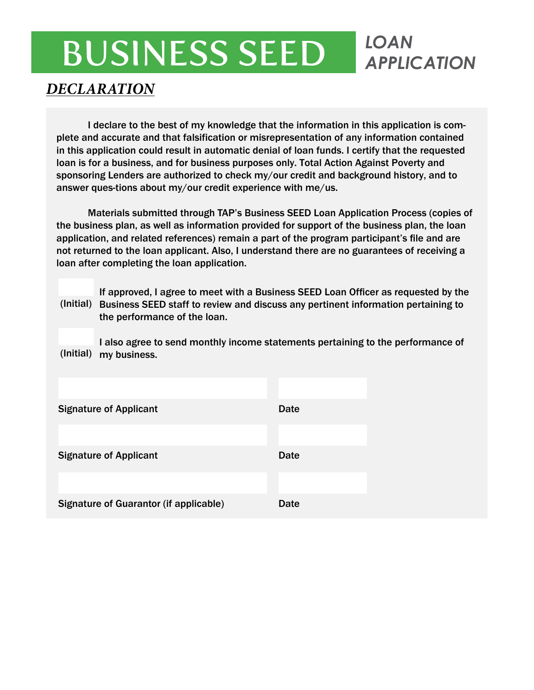# *APPLICATION*

#### *DECLARATION*

I declare to the best of my knowledge that the information in this application is complete and accurate and that falsification or misrepresentation of any information contained in this application could result in automatic denial of loan funds. I certify that the requested loan is for a business, and for business purposes only. Total Action Against Poverty and sponsoring Lenders are authorized to check my/our credit and background history, and to answer ques-tions about my/our credit experience with me/us.

Materials submitted through TAP's Business SEED Loan Application Process (copies of the business plan, as well as information provided for support of the business plan, the loan application, and related references) remain a part of the program participant's file and are not returned to the loan applicant. Also, I understand there are no guarantees of receiving a loan after completing the loan application.

If approved, I agree to meet with a Business SEED Loan Officer as requested by the (Initial) Business SEED staff to review and discuss any pertinent information pertaining to the performance of the loan.

I also agree to send monthly income statements pertaining to the performance of (Initial) my business.

| <b>Signature of Applicant</b>                 | <b>Date</b> |
|-----------------------------------------------|-------------|
|                                               |             |
| <b>Signature of Applicant</b>                 | <b>Date</b> |
|                                               |             |
| <b>Signature of Guarantor (if applicable)</b> | <b>Date</b> |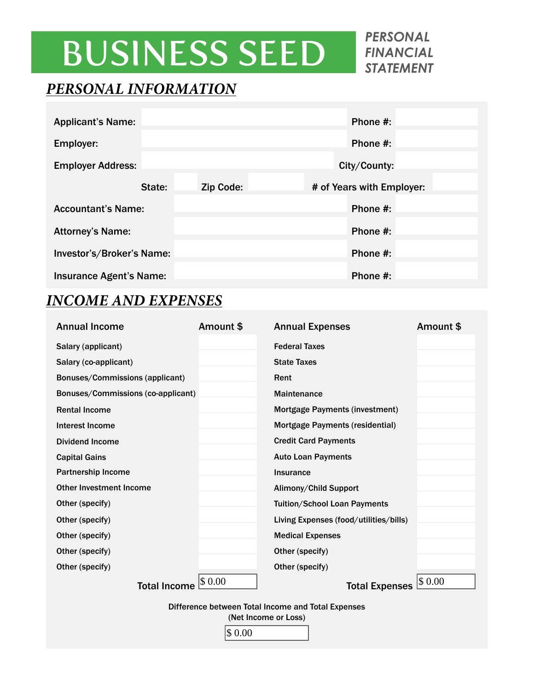# BUSINESS SEED *PERSONAL*

*FINANCIAL STATEMENT* 

#### *PERSONAL INFORMATION*

| <b>Applicant's Name:</b>       |             | Phone $#$ :               |  |
|--------------------------------|-------------|---------------------------|--|
| Employer:                      | Phone $#$ : |                           |  |
| <b>Employer Address:</b>       |             | City/County:              |  |
| State:                         | Zip Code:   | # of Years with Employer: |  |
| <b>Accountant's Name:</b>      |             | Phone $#$ :               |  |
| <b>Attorney's Name:</b>        |             | Phone $#$ :               |  |
| Investor's/Broker's Name:      |             | Phone #:                  |  |
| <b>Insurance Agent's Name:</b> |             | Phone #:                  |  |

#### *INCOME AND EXPENSES*

| <b>Annual Income</b>                                                                 | Amount \$ | <b>Annual Expenses</b>                 | Amount \$ |  |
|--------------------------------------------------------------------------------------|-----------|----------------------------------------|-----------|--|
| Salary (applicant)                                                                   |           | <b>Federal Taxes</b>                   |           |  |
| Salary (co-applicant)                                                                |           | <b>State Taxes</b>                     |           |  |
| Bonuses/Commissions (applicant)                                                      |           | Rent                                   |           |  |
| Bonuses/Commissions (co-applicant)                                                   |           | <b>Maintenance</b>                     |           |  |
| <b>Rental Income</b>                                                                 |           | Mortgage Payments (investment)         |           |  |
| Interest Income                                                                      |           | <b>Mortgage Payments (residential)</b> |           |  |
| <b>Dividend Income</b>                                                               |           | <b>Credit Card Payments</b>            |           |  |
| <b>Capital Gains</b>                                                                 |           | <b>Auto Loan Payments</b>              |           |  |
| <b>Partnership Income</b>                                                            |           | <b>Insurance</b>                       |           |  |
| <b>Other Investment Income</b>                                                       |           | Alimony/Child Support                  |           |  |
| Other (specify)                                                                      |           | <b>Tuition/School Loan Payments</b>    |           |  |
| Other (specify)                                                                      |           | Living Expenses (food/utilities/bills) |           |  |
| Other (specify)                                                                      |           | <b>Medical Expenses</b>                |           |  |
| Other (specify)                                                                      |           | Other (specify)                        |           |  |
| Other (specify)                                                                      |           | Other (specify)                        |           |  |
| <b>Total Income</b>                                                                  | \$0.00    | <b>Total Expenses</b>                  | \$0.00    |  |
| Difference between Total Income and Total Expenses<br>(Net Income or Loss)<br>\$0.00 |           |                                        |           |  |